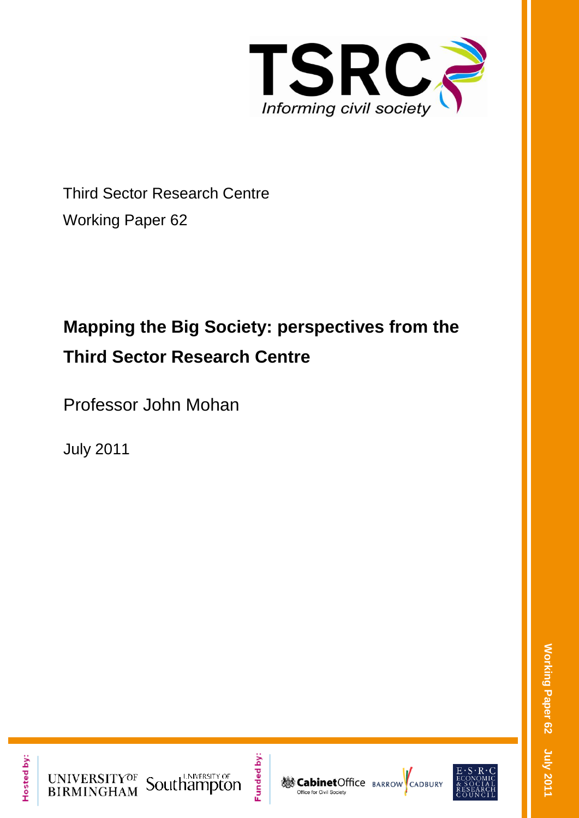

Third Sector Research Centre Working Paper 62

# **Mapping the Big Society: perspectives from the Third Sector Research Centre**

Professor John Mohan

July 2011

Hosted by:



Funded by:



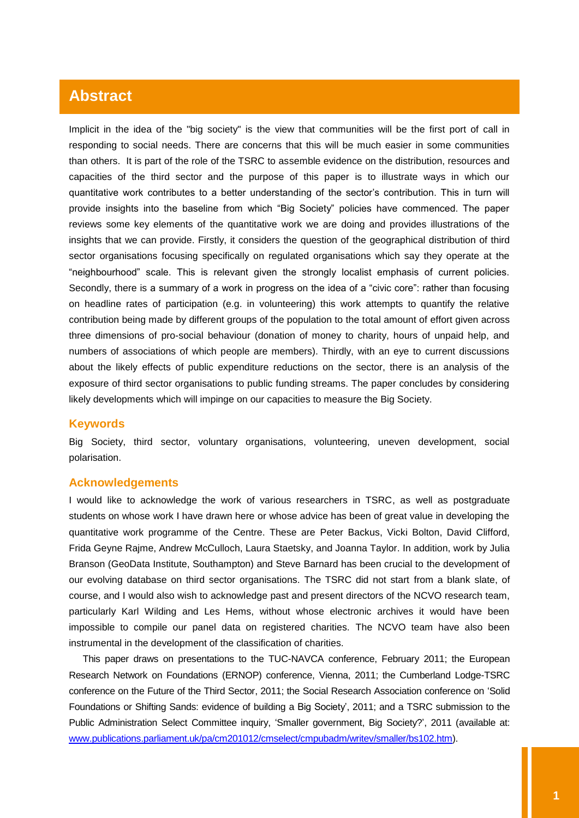## **Abstract**

Implicit in the idea of the "big society" is the view that communities will be the first port of call in responding to social needs. There are concerns that this will be much easier in some communities than others. It is part of the role of the TSRC to assemble evidence on the distribution, resources and capacities of the third sector and the purpose of this paper is to illustrate ways in which our quantitative work contributes to a better understanding of the sector"s contribution. This in turn will provide insights into the baseline from which "Big Society" policies have commenced. The paper reviews some key elements of the quantitative work we are doing and provides illustrations of the insights that we can provide. Firstly, it considers the question of the geographical distribution of third sector organisations focusing specifically on regulated organisations which say they operate at the "neighbourhood" scale. This is relevant given the strongly localist emphasis of current policies. Secondly, there is a summary of a work in progress on the idea of a "civic core": rather than focusing on headline rates of participation (e.g. in volunteering) this work attempts to quantify the relative contribution being made by different groups of the population to the total amount of effort given across three dimensions of pro-social behaviour (donation of money to charity, hours of unpaid help, and numbers of associations of which people are members). Thirdly, with an eye to current discussions about the likely effects of public expenditure reductions on the sector, there is an analysis of the exposure of third sector organisations to public funding streams. The paper concludes by considering likely developments which will impinge on our capacities to measure the Big Society.

## **Keywords**

Big Society, third sector, voluntary organisations, volunteering, uneven development, social polarisation.

#### **Acknowledgements**

I would like to acknowledge the work of various researchers in TSRC, as well as postgraduate students on whose work I have drawn here or whose advice has been of great value in developing the quantitative work programme of the Centre. These are Peter Backus, Vicki Bolton, David Clifford, Frida Geyne Rajme, Andrew McCulloch, Laura Staetsky, and Joanna Taylor. In addition, work by Julia Branson (GeoData Institute, Southampton) and Steve Barnard has been crucial to the development of our evolving database on third sector organisations. The TSRC did not start from a blank slate, of course, and I would also wish to acknowledge past and present directors of the NCVO research team, particularly Karl Wilding and Les Hems, without whose electronic archives it would have been impossible to compile our panel data on registered charities. The NCVO team have also been instrumental in the development of the classification of charities.

This paper draws on presentations to the TUC-NAVCA conference, February 2011; the European Research Network on Foundations (ERNOP) conference, Vienna, 2011; the Cumberland Lodge-TSRC conference on the Future of the Third Sector, 2011; the Social Research Association conference on "Solid Foundations or Shifting Sands: evidence of building a Big Society', 2011; and a TSRC submission to the Public Administration Select Committee inquiry, "Smaller government, Big Society?", 2011 (available at: [www.publications.parliament.uk/pa/cm201012/cmselect/cmpubadm/writev/smaller/bs102.htm\)](http://www.publications.parliament.uk/pa/cm201012/cmselect/cmpubadm/writev/smaller/bs102.htm).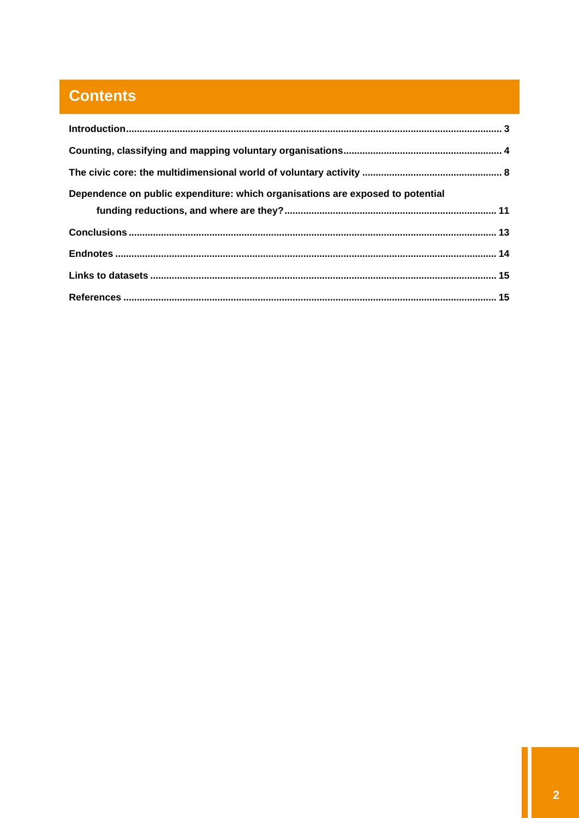## **Contents**

| Dependence on public expenditure: which organisations are exposed to potential |  |
|--------------------------------------------------------------------------------|--|
|                                                                                |  |
|                                                                                |  |
|                                                                                |  |
|                                                                                |  |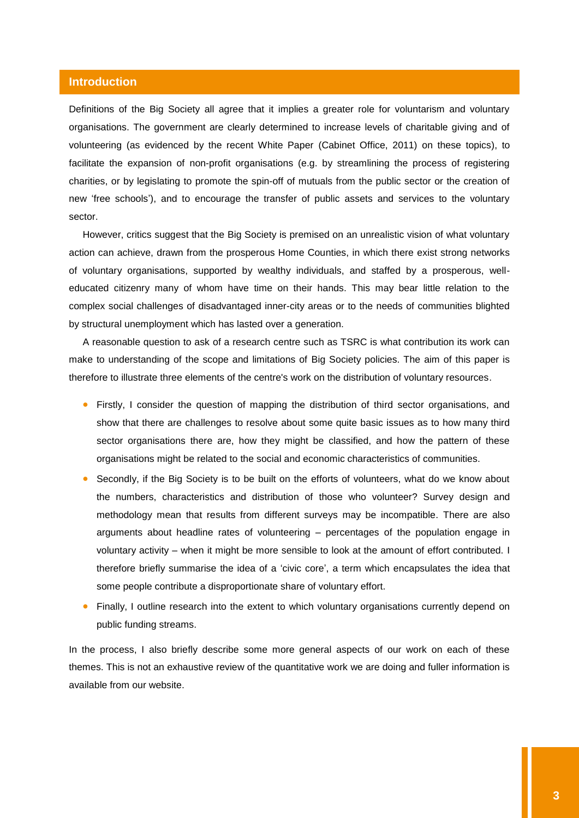## <span id="page-3-0"></span>**Introduction**

Definitions of the Big Society all agree that it implies a greater role for voluntarism and voluntary organisations. The government are clearly determined to increase levels of charitable giving and of volunteering (as evidenced by the recent White Paper (Cabinet Office, 2011) on these topics), to facilitate the expansion of non-profit organisations (e.g. by streamlining the process of registering charities, or by legislating to promote the spin-off of mutuals from the public sector or the creation of new "free schools"), and to encourage the transfer of public assets and services to the voluntary sector.

However, critics suggest that the Big Society is premised on an unrealistic vision of what voluntary action can achieve, drawn from the prosperous Home Counties, in which there exist strong networks of voluntary organisations, supported by wealthy individuals, and staffed by a prosperous, welleducated citizenry many of whom have time on their hands. This may bear little relation to the complex social challenges of disadvantaged inner-city areas or to the needs of communities blighted by structural unemployment which has lasted over a generation.

A reasonable question to ask of a research centre such as TSRC is what contribution its work can make to understanding of the scope and limitations of Big Society policies. The aim of this paper is therefore to illustrate three elements of the centre's work on the distribution of voluntary resources.

- Firstly, I consider the question of mapping the distribution of third sector organisations, and show that there are challenges to resolve about some quite basic issues as to how many third sector organisations there are, how they might be classified, and how the pattern of these organisations might be related to the social and economic characteristics of communities.
- Secondly, if the Big Society is to be built on the efforts of volunteers, what do we know about the numbers, characteristics and distribution of those who volunteer? Survey design and methodology mean that results from different surveys may be incompatible. There are also arguments about headline rates of volunteering – percentages of the population engage in voluntary activity – when it might be more sensible to look at the amount of effort contributed. I therefore briefly summarise the idea of a "civic core", a term which encapsulates the idea that some people contribute a disproportionate share of voluntary effort.
- Finally, I outline research into the extent to which voluntary organisations currently depend on public funding streams.

In the process, I also briefly describe some more general aspects of our work on each of these themes. This is not an exhaustive review of the quantitative work we are doing and fuller information is available from our website.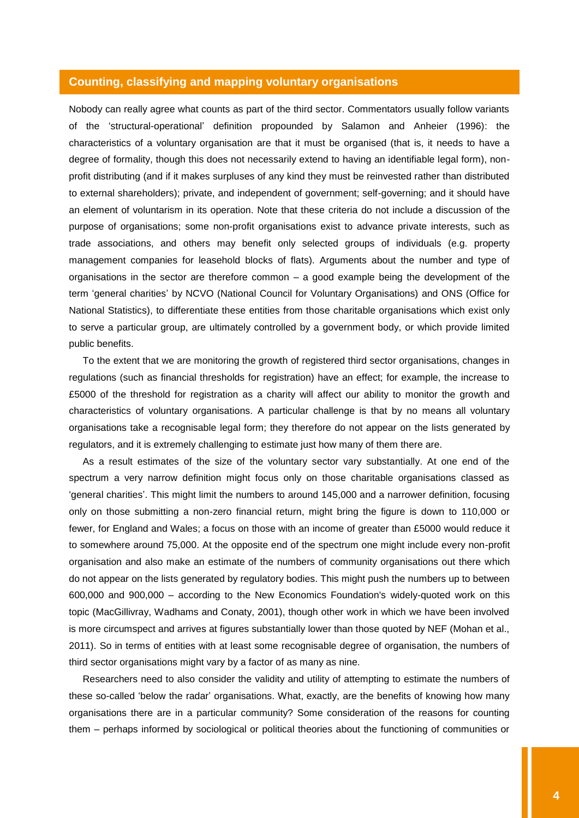#### <span id="page-4-0"></span>**Counting, classifying and mapping voluntary organisations**

Nobody can really agree what counts as part of the third sector. Commentators usually follow variants of the "structural-operational" definition propounded by Salamon and Anheier (1996): the characteristics of a voluntary organisation are that it must be organised (that is, it needs to have a degree of formality, though this does not necessarily extend to having an identifiable legal form), nonprofit distributing (and if it makes surpluses of any kind they must be reinvested rather than distributed to external shareholders); private, and independent of government; self-governing; and it should have an element of voluntarism in its operation. Note that these criteria do not include a discussion of the purpose of organisations; some non-profit organisations exist to advance private interests, such as trade associations, and others may benefit only selected groups of individuals (e.g. property management companies for leasehold blocks of flats). Arguments about the number and type of organisations in the sector are therefore common – a good example being the development of the term "general charities" by NCVO (National Council for Voluntary Organisations) and ONS (Office for National Statistics), to differentiate these entities from those charitable organisations which exist only to serve a particular group, are ultimately controlled by a government body, or which provide limited public benefits.

To the extent that we are monitoring the growth of registered third sector organisations, changes in regulations (such as financial thresholds for registration) have an effect; for example, the increase to £5000 of the threshold for registration as a charity will affect our ability to monitor the growth and characteristics of voluntary organisations. A particular challenge is that by no means all voluntary organisations take a recognisable legal form; they therefore do not appear on the lists generated by regulators, and it is extremely challenging to estimate just how many of them there are.

As a result estimates of the size of the voluntary sector vary substantially. At one end of the spectrum a very narrow definition might focus only on those charitable organisations classed as "general charities". This might limit the numbers to around 145,000 and a narrower definition, focusing only on those submitting a non-zero financial return, might bring the figure is down to 110,000 or fewer, for England and Wales; a focus on those with an income of greater than £5000 would reduce it to somewhere around 75,000. At the opposite end of the spectrum one might include every non-profit organisation and also make an estimate of the numbers of community organisations out there which do not appear on the lists generated by regulatory bodies. This might push the numbers up to between 600,000 and 900,000 – according to the New Economics Foundation's widely-quoted work on this topic (MacGillivray, Wadhams and Conaty, 2001), though other work in which we have been involved is more circumspect and arrives at figures substantially lower than those quoted by NEF (Mohan et al., 2011). So in terms of entities with at least some recognisable degree of organisation, the numbers of third sector organisations might vary by a factor of as many as nine.

Researchers need to also consider the validity and utility of attempting to estimate the numbers of these so-called "below the radar" organisations. What, exactly, are the benefits of knowing how many organisations there are in a particular community? Some consideration of the reasons for counting them – perhaps informed by sociological or political theories about the functioning of communities or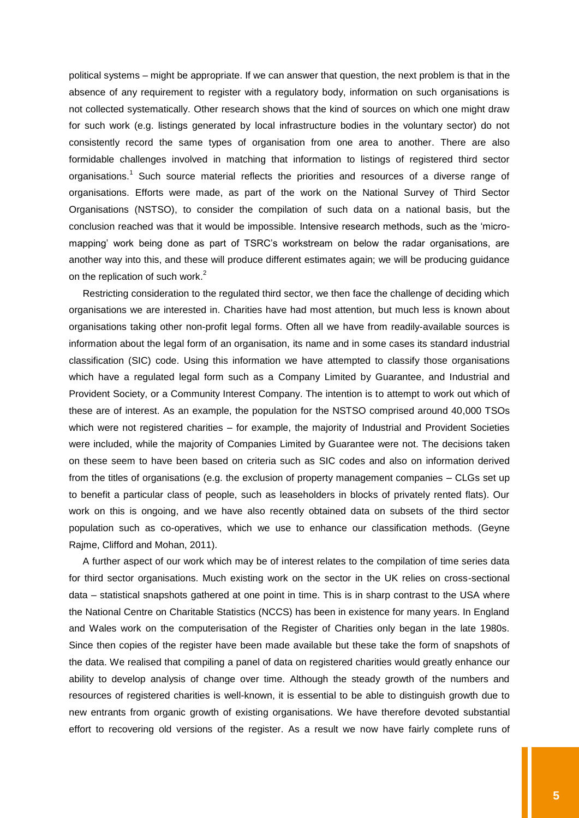political systems – might be appropriate. If we can answer that question, the next problem is that in the absence of any requirement to register with a regulatory body, information on such organisations is not collected systematically. Other research shows that the kind of sources on which one might draw for such work (e.g. listings generated by local infrastructure bodies in the voluntary sector) do not consistently record the same types of organisation from one area to another. There are also formidable challenges involved in matching that information to listings of registered third sector organisations.<sup>1</sup> Such source material reflects the priorities and resources of a diverse range of organisations. Efforts were made, as part of the work on the National Survey of Third Sector Organisations (NSTSO), to consider the compilation of such data on a national basis, but the conclusion reached was that it would be impossible. Intensive research methods, such as the "micromapping" work being done as part of TSRC"s workstream on below the radar organisations, are another way into this, and these will produce different estimates again; we will be producing guidance on the replication of such work.<sup>2</sup>

Restricting consideration to the regulated third sector, we then face the challenge of deciding which organisations we are interested in. Charities have had most attention, but much less is known about organisations taking other non-profit legal forms. Often all we have from readily-available sources is information about the legal form of an organisation, its name and in some cases its standard industrial classification (SIC) code. Using this information we have attempted to classify those organisations which have a regulated legal form such as a Company Limited by Guarantee, and Industrial and Provident Society, or a Community Interest Company. The intention is to attempt to work out which of these are of interest. As an example, the population for the NSTSO comprised around 40,000 TSOs which were not registered charities – for example, the majority of Industrial and Provident Societies were included, while the majority of Companies Limited by Guarantee were not. The decisions taken on these seem to have been based on criteria such as SIC codes and also on information derived from the titles of organisations (e.g. the exclusion of property management companies – CLGs set up to benefit a particular class of people, such as leaseholders in blocks of privately rented flats). Our work on this is ongoing, and we have also recently obtained data on subsets of the third sector population such as co-operatives, which we use to enhance our classification methods. (Geyne Rajme, Clifford and Mohan, 2011).

A further aspect of our work which may be of interest relates to the compilation of time series data for third sector organisations. Much existing work on the sector in the UK relies on cross-sectional data – statistical snapshots gathered at one point in time. This is in sharp contrast to the USA where the National Centre on Charitable Statistics (NCCS) has been in existence for many years. In England and Wales work on the computerisation of the Register of Charities only began in the late 1980s. Since then copies of the register have been made available but these take the form of snapshots of the data. We realised that compiling a panel of data on registered charities would greatly enhance our ability to develop analysis of change over time. Although the steady growth of the numbers and resources of registered charities is well-known, it is essential to be able to distinguish growth due to new entrants from organic growth of existing organisations. We have therefore devoted substantial effort to recovering old versions of the register. As a result we now have fairly complete runs of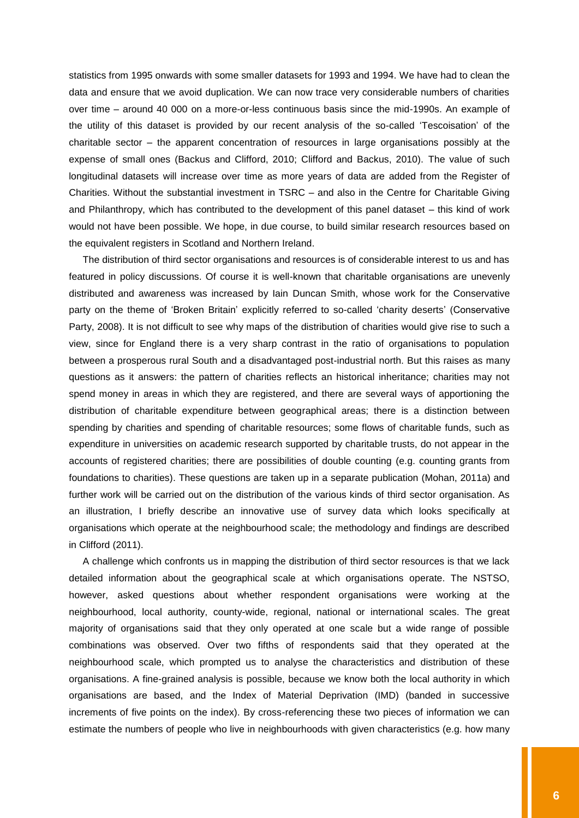statistics from 1995 onwards with some smaller datasets for 1993 and 1994. We have had to clean the data and ensure that we avoid duplication. We can now trace very considerable numbers of charities over time – around 40 000 on a more-or-less continuous basis since the mid-1990s. An example of the utility of this dataset is provided by our recent analysis of the so-called "Tescoisation" of the charitable sector – the apparent concentration of resources in large organisations possibly at the expense of small ones (Backus and Clifford, 2010; Clifford and Backus, 2010). The value of such longitudinal datasets will increase over time as more years of data are added from the Register of Charities. Without the substantial investment in TSRC – and also in the Centre for Charitable Giving and Philanthropy, which has contributed to the development of this panel dataset – this kind of work would not have been possible. We hope, in due course, to build similar research resources based on the equivalent registers in Scotland and Northern Ireland.

The distribution of third sector organisations and resources is of considerable interest to us and has featured in policy discussions. Of course it is well-known that charitable organisations are unevenly distributed and awareness was increased by Iain Duncan Smith, whose work for the Conservative party on the theme of "Broken Britain" explicitly referred to so-called "charity deserts" (Conservative Party, 2008). It is not difficult to see why maps of the distribution of charities would give rise to such a view, since for England there is a very sharp contrast in the ratio of organisations to population between a prosperous rural South and a disadvantaged post-industrial north. But this raises as many questions as it answers: the pattern of charities reflects an historical inheritance; charities may not spend money in areas in which they are registered, and there are several ways of apportioning the distribution of charitable expenditure between geographical areas; there is a distinction between spending by charities and spending of charitable resources; some flows of charitable funds, such as expenditure in universities on academic research supported by charitable trusts, do not appear in the accounts of registered charities; there are possibilities of double counting (e.g. counting grants from foundations to charities). These questions are taken up in a separate publication (Mohan, 2011a) and further work will be carried out on the distribution of the various kinds of third sector organisation. As an illustration, I briefly describe an innovative use of survey data which looks specifically at organisations which operate at the neighbourhood scale; the methodology and findings are described in Clifford (2011).

A challenge which confronts us in mapping the distribution of third sector resources is that we lack detailed information about the geographical scale at which organisations operate. The NSTSO, however, asked questions about whether respondent organisations were working at the neighbourhood, local authority, county-wide, regional, national or international scales. The great majority of organisations said that they only operated at one scale but a wide range of possible combinations was observed. Over two fifths of respondents said that they operated at the neighbourhood scale, which prompted us to analyse the characteristics and distribution of these organisations. A fine-grained analysis is possible, because we know both the local authority in which organisations are based, and the Index of Material Deprivation (IMD) (banded in successive increments of five points on the index). By cross-referencing these two pieces of information we can estimate the numbers of people who live in neighbourhoods with given characteristics (e.g. how many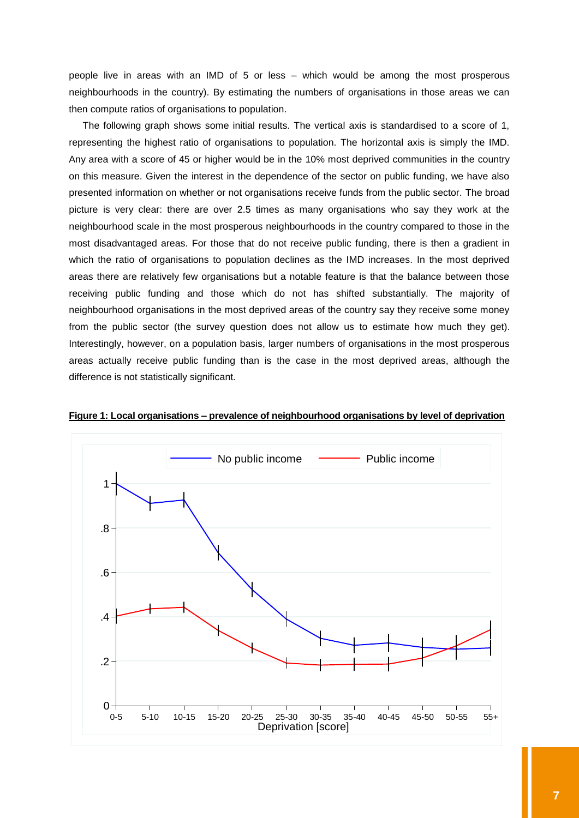people live in areas with an IMD of 5 or less – which would be among the most prosperous neighbourhoods in the country). By estimating the numbers of organisations in those areas we can then compute ratios of organisations to population.

The following graph shows some initial results. The vertical axis is standardised to a score of 1, representing the highest ratio of organisations to population. The horizontal axis is simply the IMD. Any area with a score of 45 or higher would be in the 10% most deprived communities in the country on this measure. Given the interest in the dependence of the sector on public funding, we have also presented information on whether or not organisations receive funds from the public sector. The broad picture is very clear: there are over 2.5 times as many organisations who say they work at the neighbourhood scale in the most prosperous neighbourhoods in the country compared to those in the most disadvantaged areas. For those that do not receive public funding, there is then a gradient in which the ratio of organisations to population declines as the IMD increases. In the most deprived areas there are relatively few organisations but a notable feature is that the balance between those receiving public funding and those which do not has shifted substantially. The majority of neighbourhood organisations in the most deprived areas of the country say they receive some money from the public sector (the survey question does not allow us to estimate how much they get). Interestingly, however, on a population basis, larger numbers of organisations in the most prosperous areas actually receive public funding than is the case in the most deprived areas, although the difference is not statistically significant.



**Figure 1: Local organisations – prevalence of neighbourhood organisations by level of deprivation**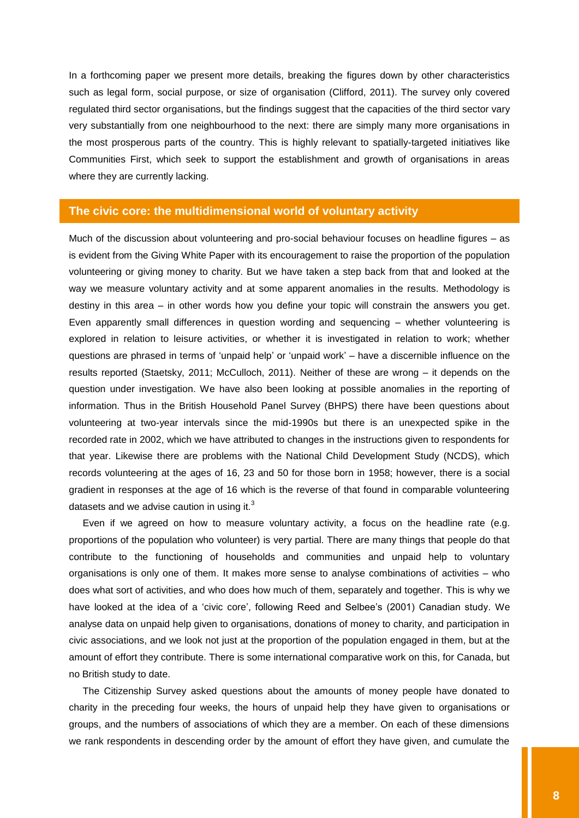In a forthcoming paper we present more details, breaking the figures down by other characteristics such as legal form, social purpose, or size of organisation (Clifford, 2011). The survey only covered regulated third sector organisations, but the findings suggest that the capacities of the third sector vary very substantially from one neighbourhood to the next: there are simply many more organisations in the most prosperous parts of the country. This is highly relevant to spatially-targeted initiatives like Communities First, which seek to support the establishment and growth of organisations in areas where they are currently lacking.

## <span id="page-8-0"></span>**The civic core: the multidimensional world of voluntary activity**

Much of the discussion about volunteering and pro-social behaviour focuses on headline figures – as is evident from the Giving White Paper with its encouragement to raise the proportion of the population volunteering or giving money to charity. But we have taken a step back from that and looked at the way we measure voluntary activity and at some apparent anomalies in the results. Methodology is destiny in this area – in other words how you define your topic will constrain the answers you get. Even apparently small differences in question wording and sequencing – whether volunteering is explored in relation to leisure activities, or whether it is investigated in relation to work; whether questions are phrased in terms of "unpaid help" or "unpaid work" – have a discernible influence on the results reported (Staetsky, 2011; McCulloch, 2011). Neither of these are wrong – it depends on the question under investigation. We have also been looking at possible anomalies in the reporting of information. Thus in the British Household Panel Survey (BHPS) there have been questions about volunteering at two-year intervals since the mid-1990s but there is an unexpected spike in the recorded rate in 2002, which we have attributed to changes in the instructions given to respondents for that year. Likewise there are problems with the National Child Development Study (NCDS), which records volunteering at the ages of 16, 23 and 50 for those born in 1958; however, there is a social gradient in responses at the age of 16 which is the reverse of that found in comparable volunteering datasets and we advise caution in using it. $3$ 

Even if we agreed on how to measure voluntary activity, a focus on the headline rate (e.g. proportions of the population who volunteer) is very partial. There are many things that people do that contribute to the functioning of households and communities and unpaid help to voluntary organisations is only one of them. It makes more sense to analyse combinations of activities – who does what sort of activities, and who does how much of them, separately and together. This is why we have looked at the idea of a 'civic core', following Reed and Selbee's (2001) Canadian study. We analyse data on unpaid help given to organisations, donations of money to charity, and participation in civic associations, and we look not just at the proportion of the population engaged in them, but at the amount of effort they contribute. There is some international comparative work on this, for Canada, but no British study to date.

The Citizenship Survey asked questions about the amounts of money people have donated to charity in the preceding four weeks, the hours of unpaid help they have given to organisations or groups, and the numbers of associations of which they are a member. On each of these dimensions we rank respondents in descending order by the amount of effort they have given, and cumulate the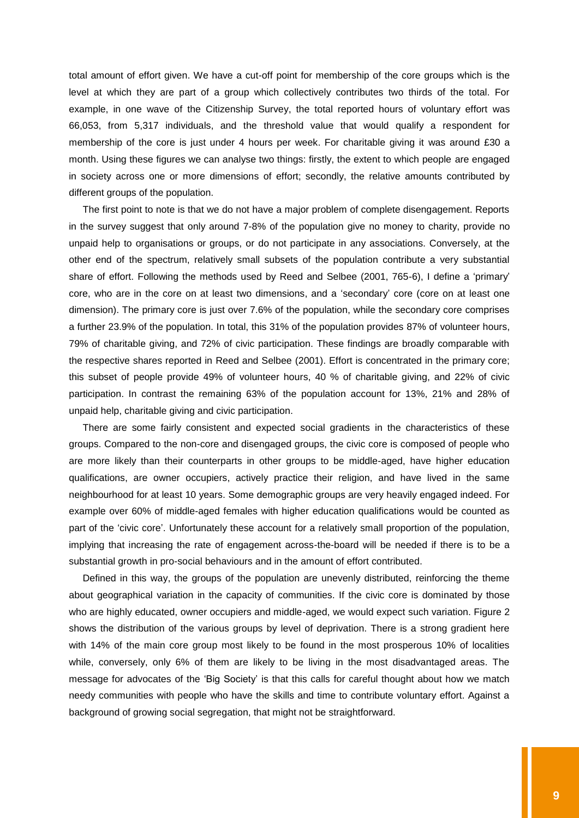total amount of effort given. We have a cut-off point for membership of the core groups which is the level at which they are part of a group which collectively contributes two thirds of the total. For example, in one wave of the Citizenship Survey, the total reported hours of voluntary effort was 66,053, from 5,317 individuals, and the threshold value that would qualify a respondent for membership of the core is just under 4 hours per week. For charitable giving it was around £30 a month. Using these figures we can analyse two things: firstly, the extent to which people are engaged in society across one or more dimensions of effort; secondly, the relative amounts contributed by different groups of the population.

The first point to note is that we do not have a major problem of complete disengagement. Reports in the survey suggest that only around 7-8% of the population give no money to charity, provide no unpaid help to organisations or groups, or do not participate in any associations. Conversely, at the other end of the spectrum, relatively small subsets of the population contribute a very substantial share of effort. Following the methods used by Reed and Selbee (2001, 765-6), I define a "primary" core, who are in the core on at least two dimensions, and a "secondary" core (core on at least one dimension). The primary core is just over 7.6% of the population, while the secondary core comprises a further 23.9% of the population. In total, this 31% of the population provides 87% of volunteer hours, 79% of charitable giving, and 72% of civic participation. These findings are broadly comparable with the respective shares reported in Reed and Selbee (2001). Effort is concentrated in the primary core; this subset of people provide 49% of volunteer hours, 40 % of charitable giving, and 22% of civic participation. In contrast the remaining 63% of the population account for 13%, 21% and 28% of unpaid help, charitable giving and civic participation.

There are some fairly consistent and expected social gradients in the characteristics of these groups. Compared to the non-core and disengaged groups, the civic core is composed of people who are more likely than their counterparts in other groups to be middle-aged, have higher education qualifications, are owner occupiers, actively practice their religion, and have lived in the same neighbourhood for at least 10 years. Some demographic groups are very heavily engaged indeed. For example over 60% of middle-aged females with higher education qualifications would be counted as part of the "civic core". Unfortunately these account for a relatively small proportion of the population, implying that increasing the rate of engagement across-the-board will be needed if there is to be a substantial growth in pro-social behaviours and in the amount of effort contributed.

Defined in this way, the groups of the population are unevenly distributed, reinforcing the theme about geographical variation in the capacity of communities. If the civic core is dominated by those who are highly educated, owner occupiers and middle-aged, we would expect such variation. Figure 2 shows the distribution of the various groups by level of deprivation. There is a strong gradient here with 14% of the main core group most likely to be found in the most prosperous 10% of localities while, conversely, only 6% of them are likely to be living in the most disadvantaged areas. The message for advocates of the "Big Society" is that this calls for careful thought about how we match needy communities with people who have the skills and time to contribute voluntary effort. Against a background of growing social segregation, that might not be straightforward.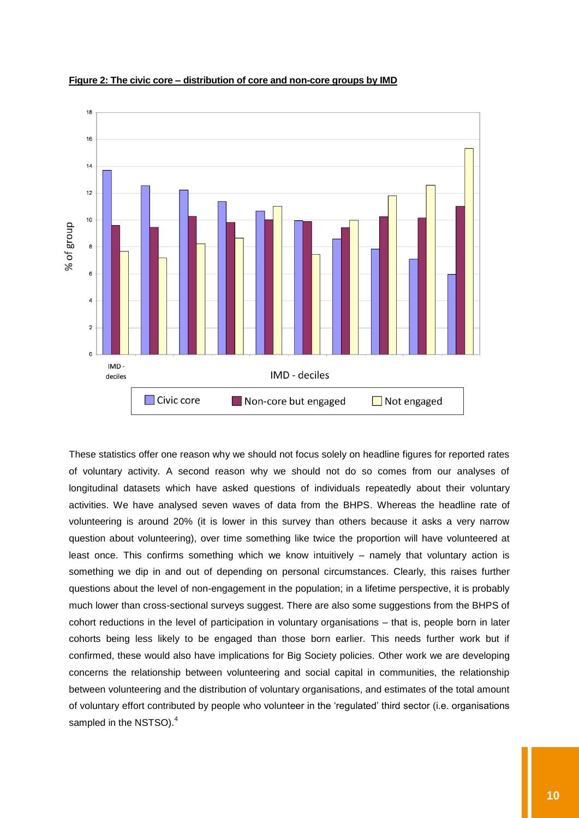

**Figure 2: The civic core – distribution of core and non-core groups by IMD**

These statistics offer one reason why we should not focus solely on headline figures for reported rates of voluntary activity. A second reason why we should not do so comes from our analyses of longitudinal datasets which have asked questions of individuals repeatedly about their voluntary activities. We have analysed seven waves of data from the BHPS. Whereas the headline rate of volunteering is around 20% (it is lower in this survey than others because it asks a very narrow question about volunteering), over time something like twice the proportion will have volunteered at least once. This confirms something which we know intuitively – namely that voluntary action is something we dip in and out of depending on personal circumstances. Clearly, this raises further questions about the level of non-engagement in the population; in a lifetime perspective, it is probably much lower than cross-sectional surveys suggest. There are also some suggestions from the BHPS of cohort reductions in the level of participation in voluntary organisations – that is, people born in later cohorts being less likely to be engaged than those born earlier. This needs further work but if confirmed, these would also have implications for Big Society policies. Other work we are developing concerns the relationship between volunteering and social capital in communities, the relationship between volunteering and the distribution of voluntary organisations, and estimates of the total amount of voluntary effort contributed by people who volunteer in the "regulated" third sector (i.e. organisations sampled in the NSTSO).<sup>4</sup>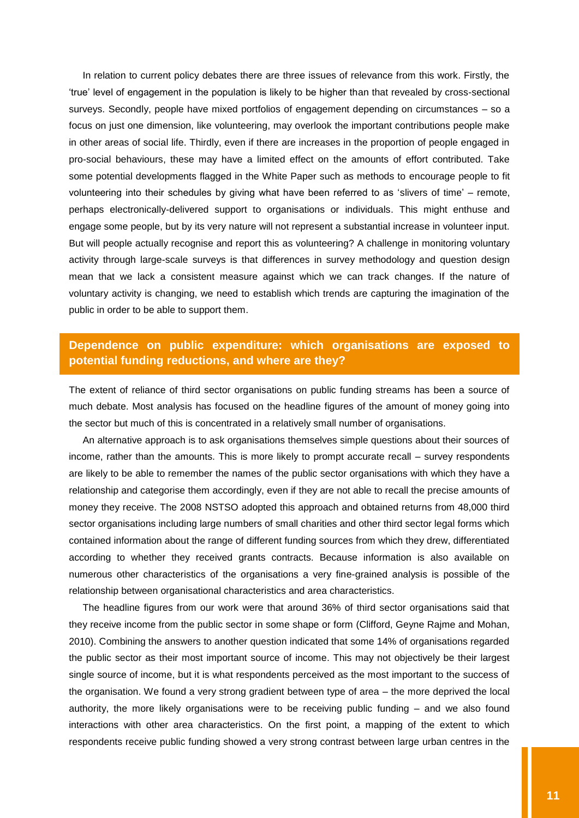In relation to current policy debates there are three issues of relevance from this work. Firstly, the "true" level of engagement in the population is likely to be higher than that revealed by cross-sectional surveys. Secondly, people have mixed portfolios of engagement depending on circumstances – so a focus on just one dimension, like volunteering, may overlook the important contributions people make in other areas of social life. Thirdly, even if there are increases in the proportion of people engaged in pro-social behaviours, these may have a limited effect on the amounts of effort contributed. Take some potential developments flagged in the White Paper such as methods to encourage people to fit volunteering into their schedules by giving what have been referred to as "slivers of time" – remote, perhaps electronically-delivered support to organisations or individuals. This might enthuse and engage some people, but by its very nature will not represent a substantial increase in volunteer input. But will people actually recognise and report this as volunteering? A challenge in monitoring voluntary activity through large-scale surveys is that differences in survey methodology and question design mean that we lack a consistent measure against which we can track changes. If the nature of voluntary activity is changing, we need to establish which trends are capturing the imagination of the public in order to be able to support them.

## <span id="page-11-0"></span>**Dependence on public expenditure: which organisations are exposed to potential funding reductions, and where are they?**

The extent of reliance of third sector organisations on public funding streams has been a source of much debate. Most analysis has focused on the headline figures of the amount of money going into the sector but much of this is concentrated in a relatively small number of organisations.

An alternative approach is to ask organisations themselves simple questions about their sources of income, rather than the amounts. This is more likely to prompt accurate recall – survey respondents are likely to be able to remember the names of the public sector organisations with which they have a relationship and categorise them accordingly, even if they are not able to recall the precise amounts of money they receive. The 2008 NSTSO adopted this approach and obtained returns from 48,000 third sector organisations including large numbers of small charities and other third sector legal forms which contained information about the range of different funding sources from which they drew, differentiated according to whether they received grants contracts. Because information is also available on numerous other characteristics of the organisations a very fine-grained analysis is possible of the relationship between organisational characteristics and area characteristics.

The headline figures from our work were that around 36% of third sector organisations said that they receive income from the public sector in some shape or form (Clifford, Geyne Rajme and Mohan, 2010). Combining the answers to another question indicated that some 14% of organisations regarded the public sector as their most important source of income. This may not objectively be their largest single source of income, but it is what respondents perceived as the most important to the success of the organisation. We found a very strong gradient between type of area – the more deprived the local authority, the more likely organisations were to be receiving public funding – and we also found interactions with other area characteristics. On the first point, a mapping of the extent to which respondents receive public funding showed a very strong contrast between large urban centres in the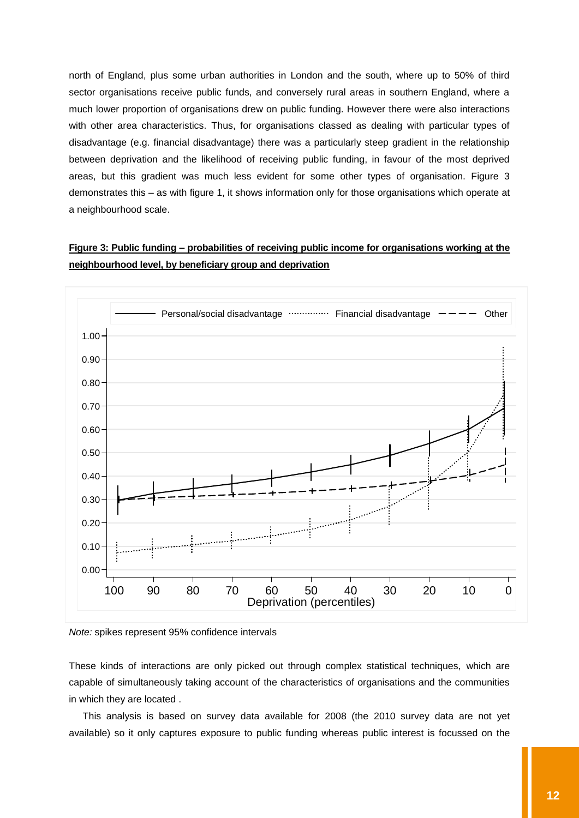north of England, plus some urban authorities in London and the south, where up to 50% of third sector organisations receive public funds, and conversely rural areas in southern England, where a much lower proportion of organisations drew on public funding. However there were also interactions with other area characteristics. Thus, for organisations classed as dealing with particular types of disadvantage (e.g. financial disadvantage) there was a particularly steep gradient in the relationship between deprivation and the likelihood of receiving public funding, in favour of the most deprived areas, but this gradient was much less evident for some other types of organisation. Figure 3 demonstrates this – as with figure 1, it shows information only for those organisations which operate at a neighbourhood scale.

## **Figure 3: Public funding – probabilities of receiving public income for organisations working at the neighbourhood level, by beneficiary group and deprivation**





These kinds of interactions are only picked out through complex statistical techniques, which are capable of simultaneously taking account of the characteristics of organisations and the communities in which they are located .

This analysis is based on survey data available for 2008 (the 2010 survey data are not yet available) so it only captures exposure to public funding whereas public interest is focussed on the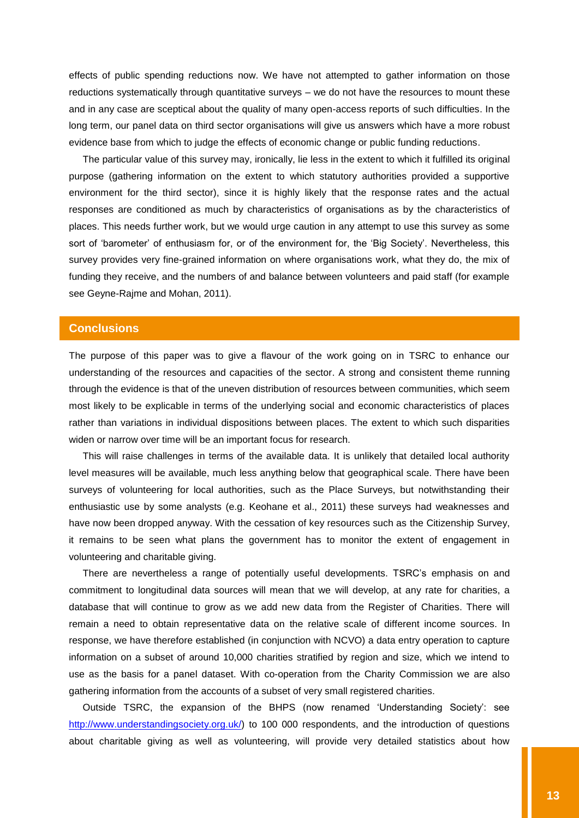effects of public spending reductions now. We have not attempted to gather information on those reductions systematically through quantitative surveys – we do not have the resources to mount these and in any case are sceptical about the quality of many open-access reports of such difficulties. In the long term, our panel data on third sector organisations will give us answers which have a more robust evidence base from which to judge the effects of economic change or public funding reductions.

The particular value of this survey may, ironically, lie less in the extent to which it fulfilled its original purpose (gathering information on the extent to which statutory authorities provided a supportive environment for the third sector), since it is highly likely that the response rates and the actual responses are conditioned as much by characteristics of organisations as by the characteristics of places. This needs further work, but we would urge caution in any attempt to use this survey as some sort of 'barometer' of enthusiasm for, or of the environment for, the 'Big Society'. Nevertheless, this survey provides very fine-grained information on where organisations work, what they do, the mix of funding they receive, and the numbers of and balance between volunteers and paid staff (for example see Geyne-Rajme and Mohan, 2011).

## <span id="page-13-0"></span>**Conclusions**

The purpose of this paper was to give a flavour of the work going on in TSRC to enhance our understanding of the resources and capacities of the sector. A strong and consistent theme running through the evidence is that of the uneven distribution of resources between communities, which seem most likely to be explicable in terms of the underlying social and economic characteristics of places rather than variations in individual dispositions between places. The extent to which such disparities widen or narrow over time will be an important focus for research.

This will raise challenges in terms of the available data. It is unlikely that detailed local authority level measures will be available, much less anything below that geographical scale. There have been surveys of volunteering for local authorities, such as the Place Surveys, but notwithstanding their enthusiastic use by some analysts (e.g. Keohane et al., 2011) these surveys had weaknesses and have now been dropped anyway. With the cessation of key resources such as the Citizenship Survey, it remains to be seen what plans the government has to monitor the extent of engagement in volunteering and charitable giving.

There are nevertheless a range of potentially useful developments. TSRC"s emphasis on and commitment to longitudinal data sources will mean that we will develop, at any rate for charities, a database that will continue to grow as we add new data from the Register of Charities. There will remain a need to obtain representative data on the relative scale of different income sources. In response, we have therefore established (in conjunction with NCVO) a data entry operation to capture information on a subset of around 10,000 charities stratified by region and size, which we intend to use as the basis for a panel dataset. With co-operation from the Charity Commission we are also gathering information from the accounts of a subset of very small registered charities.

Outside TSRC, the expansion of the BHPS (now renamed "Understanding Society": see [http://www.understandingsociety.org.uk/\)](http://www.understandingsociety.org.uk/) to 100 000 respondents, and the introduction of questions about charitable giving as well as volunteering, will provide very detailed statistics about how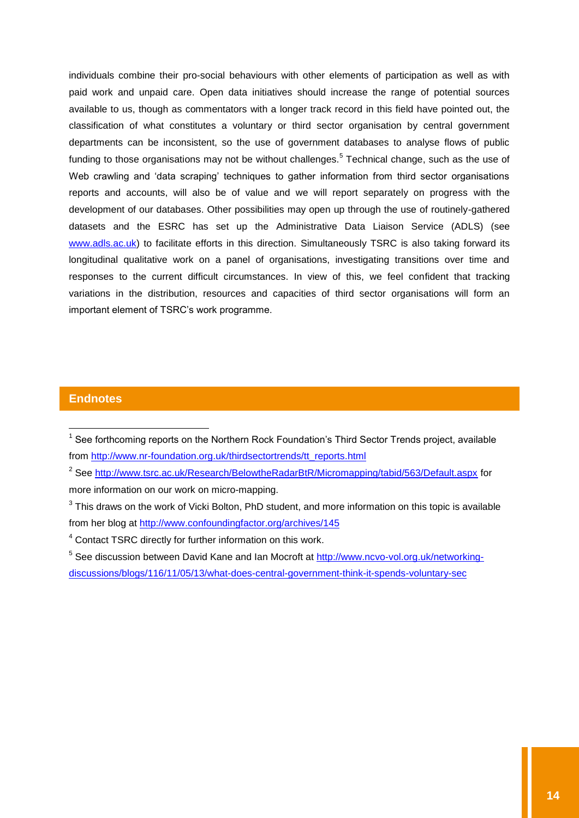individuals combine their pro-social behaviours with other elements of participation as well as with paid work and unpaid care. Open data initiatives should increase the range of potential sources available to us, though as commentators with a longer track record in this field have pointed out, the classification of what constitutes a voluntary or third sector organisation by central government departments can be inconsistent, so the use of government databases to analyse flows of public funding to those organisations may not be without challenges.<sup>5</sup> Technical change, such as the use of Web crawling and 'data scraping' techniques to gather information from third sector organisations reports and accounts, will also be of value and we will report separately on progress with the development of our databases. Other possibilities may open up through the use of routinely-gathered datasets and the ESRC has set up the Administrative Data Liaison Service (ADLS) (see [www.adls.ac.uk\)](http://www.adls.ac.uk/) to facilitate efforts in this direction. Simultaneously TSRC is also taking forward its longitudinal qualitative work on a panel of organisations, investigating transitions over time and responses to the current difficult circumstances. In view of this, we feel confident that tracking variations in the distribution, resources and capacities of third sector organisations will form an important element of TSRC"s work programme.

## <span id="page-14-0"></span>**Endnotes**

 $\overline{a}$ 

<sup>&</sup>lt;sup>1</sup> See forthcoming reports on the Northern Rock Foundation's Third Sector Trends project, available from [http://www.nr-foundation.org.uk/thirdsectortrends/tt\\_reports.html](http://www.nr-foundation.org.uk/thirdsectortrends/tt_reports.html)

<sup>&</sup>lt;sup>2</sup> See<http://www.tsrc.ac.uk/Research/BelowtheRadarBtR/Micromapping/tabid/563/Default.aspx> for more information on our work on micro-mapping.

 $3$  This draws on the work of Vicki Bolton, PhD student, and more information on this topic is available from her blog at<http://www.confoundingfactor.org/archives/145>

<sup>4</sup> Contact TSRC directly for further information on this work.

<sup>&</sup>lt;sup>5</sup> See discussion between David Kane and Ian Mocroft at [http://www.ncvo-vol.org.uk/networking](http://www.ncvo-vol.org.uk/networking-discussions/blogs/116/11/05/13/what-does-central-government-think-it-spends-voluntary-sec)[discussions/blogs/116/11/05/13/what-does-central-government-think-it-spends-voluntary-sec](http://www.ncvo-vol.org.uk/networking-discussions/blogs/116/11/05/13/what-does-central-government-think-it-spends-voluntary-sec)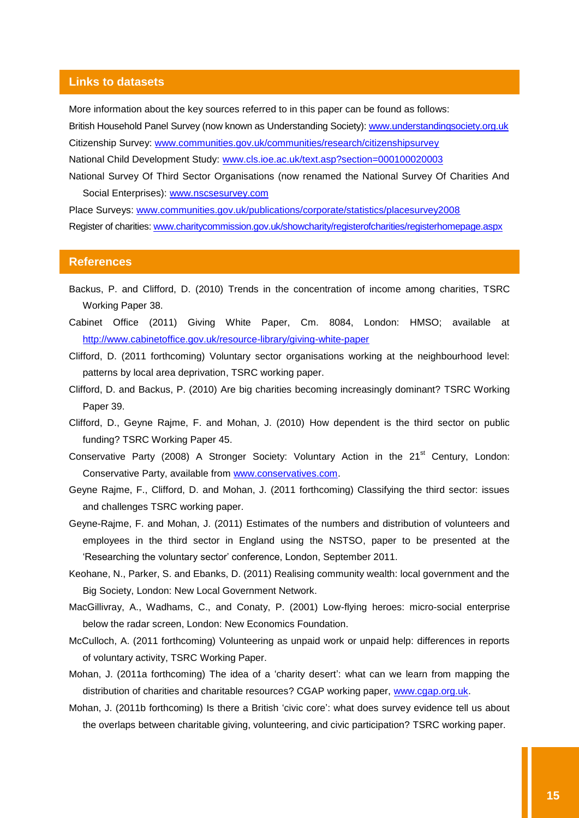#### <span id="page-15-0"></span>**Links to datasets**

More information about the key sources referred to in this paper can be found as follows:

British Household Panel Survey (now known as Understanding Society): [www.understandingsociety.org.uk](http://www.understandingsociety.org.uk/)

Citizenship Survey: [www.communities.gov.uk/communities/research/citizenshipsurvey](http://www.communities.gov.uk/communities/research/citizenshipsurvey/)

National Child Development Study: [www.cls.ioe.ac.uk/text.asp?section=000100020003](http://www.cls.ioe.ac.uk/text.asp?section=000100020003)

National Survey Of Third Sector Organisations (now renamed the National Survey Of Charities And Social Enterprises): [www.nscsesurvey.com](http://www.nscsesurvey.com/)

Place Surveys: [www.communities.gov.uk/publications/corporate/statistics/placesurvey2008](http://www.communities.gov.uk/publications/corporate/statistics/placesurvey2008) Register of charities: [www.charitycommission.gov.uk/showcharity/registerofcharities/registerhomepage.aspx](http://www.charitycommission.gov.uk/showcharity/registerofcharities/registerhomepage.aspx)

#### <span id="page-15-1"></span>**References**

- Backus, P. and Clifford, D. (2010) Trends in the concentration of income among charities, TSRC Working Paper 38.
- Cabinet Office (2011) Giving White Paper, Cm. 8084, London: HMSO; available at <http://www.cabinetoffice.gov.uk/resource-library/giving-white-paper>
- Clifford, D. (2011 forthcoming) Voluntary sector organisations working at the neighbourhood level: patterns by local area deprivation, TSRC working paper.
- Clifford, D. and Backus, P. (2010) Are big charities becoming increasingly dominant? TSRC Working Paper 39.
- Clifford, D., Geyne Rajme, F. and Mohan, J. (2010) How dependent is the third sector on public funding? TSRC Working Paper 45.
- Conservative Party (2008) A Stronger Society: Voluntary Action in the 21<sup>st</sup> Century, London: Conservative Party, available from [www.conservatives.com.](http://www.conservatives.com/)
- Geyne Rajme, F., Clifford, D. and Mohan, J. (2011 forthcoming) Classifying the third sector: issues and challenges TSRC working paper.
- Geyne-Rajme, F. and Mohan, J. (2011) Estimates of the numbers and distribution of volunteers and employees in the third sector in England using the NSTSO, paper to be presented at the 'Researching the voluntary sector' conference, London, September 2011.
- Keohane, N., Parker, S. and Ebanks, D. (2011) Realising community wealth: local government and the Big Society, London: New Local Government Network.
- MacGillivray, A., Wadhams, C., and Conaty, P. (2001) Low-flying heroes: micro-social enterprise below the radar screen, London: New Economics Foundation.
- McCulloch, A. (2011 forthcoming) Volunteering as unpaid work or unpaid help: differences in reports of voluntary activity, TSRC Working Paper.
- Mohan, J. (2011a forthcoming) The idea of a "charity desert": what can we learn from mapping the distribution of charities and charitable resources? CGAP working paper, [www.cgap.org.uk.](http://www.cgap.org.uk/)
- Mohan, J. (2011b forthcoming) Is there a British "civic core": what does survey evidence tell us about the overlaps between charitable giving, volunteering, and civic participation? TSRC working paper.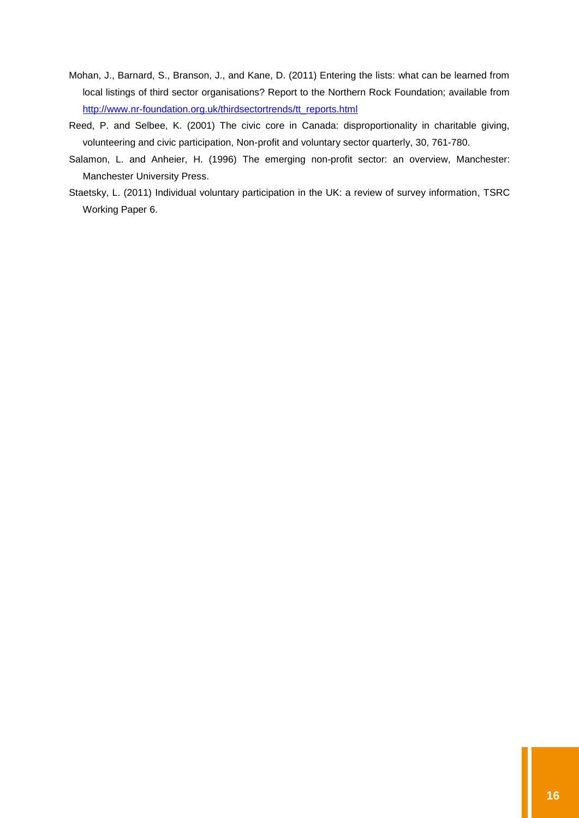- Mohan, J., Barnard, S., Branson, J., and Kane, D. (2011) Entering the lists: what can be learned from local listings of third sector organisations? Report to the Northern Rock Foundation; available from [http://www.nr-foundation.org.uk/thirdsectortrends/tt\\_reports.html](http://www.nr-foundation.org.uk/thirdsectortrends/tt_reports.html)
- Reed, P. and Selbee, K. (2001) The civic core in Canada: disproportionality in charitable giving, volunteering and civic participation, Non-profit and voluntary sector quarterly, 30, 761-780.
- Salamon, L. and Anheier, H. (1996) The emerging non-profit sector: an overview, Manchester: Manchester University Press.
- Staetsky, L. (2011) Individual voluntary participation in the UK: a review of survey information, TSRC Working Paper 6.